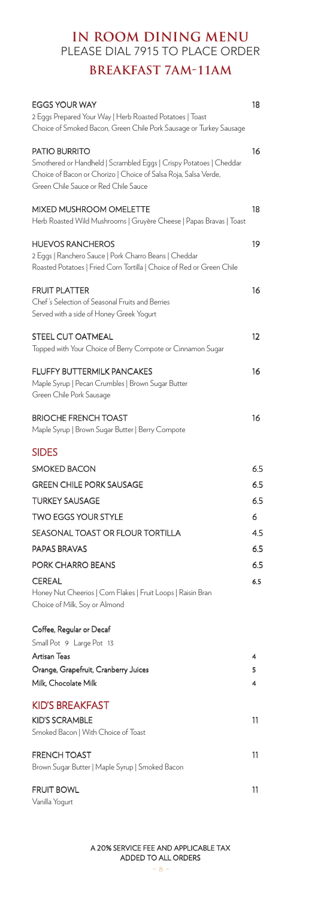# **IN ROOM DINING MENU** PLEASE DIAL 7915 TO PLACE ORDER

# **BREAKFAST 7AM-11AM**

| <b>EGGS YOUR WAY</b>                                                  | 18  |
|-----------------------------------------------------------------------|-----|
| 2 Eggs Prepared Your Way   Herb Roasted Potatoes   Toast              |     |
| Choice of Smoked Bacon, Green Chile Pork Sausage or Turkey Sausage    |     |
| <b>PATIO BURRITO</b>                                                  | 16  |
| Smothered or Handheld   Scrambled Eggs   Crispy Potatoes   Cheddar    |     |
| Choice of Bacon or Chorizo   Choice of Salsa Roja, Salsa Verde,       |     |
| Green Chile Sauce or Red Chile Sauce                                  |     |
| MIXED MUSHROOM OMELETTE                                               | 18  |
| Herb Roasted Wild Mushrooms   Gruyère Cheese   Papas Bravas   Toast   |     |
|                                                                       |     |
| <b>HUEVOS RANCHEROS</b>                                               | 19  |
| 2 Eggs   Ranchero Sauce   Pork Charro Beans   Cheddar                 |     |
| Roasted Potatoes   Fried Corn Tortilla   Choice of Red or Green Chile |     |
| <b>FRUIT PLATTER</b>                                                  | 16  |
| Chef's Selection of Seasonal Fruits and Berries                       |     |
| Served with a side of Honey Greek Yogurt                              |     |
| STEEL CUT OATMEAL                                                     | 12  |
| Topped with Your Choice of Berry Compote or Cinnamon Sugar            |     |
|                                                                       |     |
| <b>FLUFFY BUTTERMILK PANCAKES</b>                                     | 16  |
| Maple Syrup   Pecan Crumbles   Brown Sugar Butter                     |     |
| Green Chile Pork Sausage                                              |     |
| <b>BRIOCHE FRENCH TOAST</b>                                           | 16  |
| Maple Syrup   Brown Sugar Butter   Berry Compote                      |     |
| <b>SIDES</b>                                                          |     |
| <b>SMOKED BACON</b>                                                   | 6.5 |
| <b>GREEN CHILE PORK SAUSAGE</b>                                       |     |
|                                                                       | 6.5 |
| <b>TURKEY SAUSAGE</b>                                                 | 6.5 |
| <b>TWO EGGS YOUR STYLE</b>                                            | 6   |
| SEASONAL TOAST OR FLOUR TORTILLA                                      | 4.5 |
| <b>PAPAS BRAVAS</b>                                                   | 6.5 |
| PORK CHARRO BEANS                                                     | 6.5 |
| <b>CEREAL</b>                                                         | 6.5 |
| Honey Nut Cheerios   Corn Flakes   Fruit Loops   Raisin Bran          |     |
| Choice of Milk, Soy or Almond                                         |     |
| Coffee, Regular or Decaf                                              |     |
| Small Pot 9 Large Pot 13                                              |     |
| Artisan Teas                                                          | 4   |
| Orange, Grapefruit, Cranberry Juices                                  | 5   |
| Milk, Chocolate Milk                                                  | 4   |
|                                                                       |     |
| <b>KID'S BREAKFAST</b>                                                |     |
| <b>KID'S SCRAMBLE</b>                                                 | 11  |
| Smoked Bacon   With Choice of Toast                                   |     |
| <b>FRENCH TOAST</b>                                                   | 11  |
| Brown Sugar Butter   Maple Syrup   Smoked Bacon                       |     |
| <b>FRUIT BOWL</b>                                                     | 11  |
| Vanilla Yogurt                                                        |     |
|                                                                       |     |

A 20% SERVICE FEE AND APPLICABLE TAX ADDED TO ALL ORDERS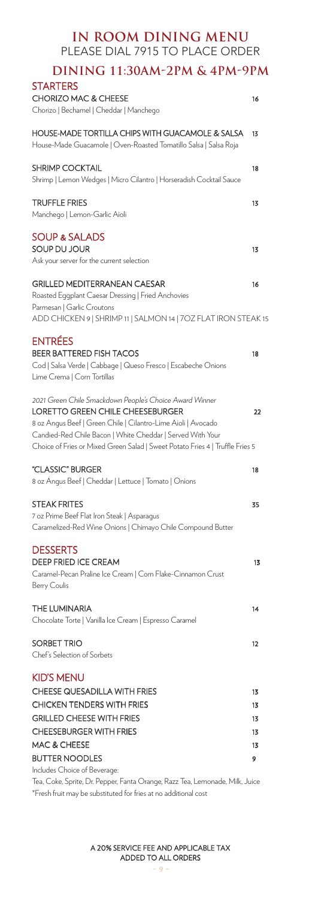| IN ROOM DINING MENU<br>PLEASE DIAL 7915 TO PLACE ORDER                                                                                                                                                                                                                                                      |          |
|-------------------------------------------------------------------------------------------------------------------------------------------------------------------------------------------------------------------------------------------------------------------------------------------------------------|----------|
| DINING 11:30AM-2PM & 4PM-9PM<br><b>STARTERS</b>                                                                                                                                                                                                                                                             |          |
| <b>CHORIZO MAC &amp; CHEESE</b><br>Chorizo   Bechamel   Cheddar   Manchego                                                                                                                                                                                                                                  | 16       |
| HOUSE-MADE TORTILLA CHIPS WITH GUACAMOLE & SALSA<br>House-Made Guacamole   Oven-Roasted Tomatillo Salsa   Salsa Roja                                                                                                                                                                                        | 13       |
| <b>SHRIMP COCKTAIL</b><br>Shrimp   Lemon Wedges   Micro Cilantro   Horseradish Cocktail Sauce                                                                                                                                                                                                               | 18       |
| <b>TRUFFLE FRIES</b><br>Manchego   Lemon-Garlic Aioli                                                                                                                                                                                                                                                       | 13       |
| <b>SOUP &amp; SALADS</b><br>SOUP DU JOUR                                                                                                                                                                                                                                                                    | 13       |
| Ask your server for the current selection                                                                                                                                                                                                                                                                   |          |
| <b>GRILLED MEDITERRANEAN CAESAR</b><br>Roasted Eggplant Caesar Dressing   Fried Anchovies                                                                                                                                                                                                                   | 16       |
| Parmesan   Garlic Croutons<br>ADD CHICKEN 9   SHRIMP 11   SALMON 14   70Z FLAT IRON STEAK 15                                                                                                                                                                                                                |          |
| <b>ENTRÉES</b><br><b>BEER BATTERED FISH TACOS</b><br>Cod   Salsa Verde   Cabbage   Queso Fresco   Escabeche Onions<br>Lime Crema   Corn Tortillas                                                                                                                                                           | 18       |
| 2021 Green Chile Smackdown People's Choice Award Winner<br>LORETTO GREEN CHILE CHEESEBURGER<br>8 oz Angus Beef   Green Chile   Cilantro-Lime Aioli   Avocado<br>Candied-Red Chile Bacon   White Cheddar   Served With Your<br>Choice of Fries or Mixed Green Salad   Sweet Potato Fries 4   Truffle Fries 5 | 22       |
|                                                                                                                                                                                                                                                                                                             |          |
| "CLASSIC" BURGER<br>8 oz Angus Beef   Cheddar   Lettuce   Tomato   Onions                                                                                                                                                                                                                                   | 18       |
| <b>STEAK FRITES</b><br>7 oz Prime Beef Flat Iron Steak   Asparagus<br>Caramelized-Red Wine Onions   Chimayo Chile Compound Butter                                                                                                                                                                           | 35       |
| <b>DESSERTS</b><br><b>DEEP FRIED ICE CREAM</b><br>Caramel-Pecan Praline Ice Cream   Corn Flake-Cinnamon Crust<br><b>Berry Coulis</b>                                                                                                                                                                        | 13       |
| THE LUMINARIA<br>Chocolate Torte   Vanilla Ice Cream   Espresso Caramel                                                                                                                                                                                                                                     | 14       |
| SORBET TRIO<br>Chef's Selection of Sorbets                                                                                                                                                                                                                                                                  | 12       |
| <b>KID'S MENU</b><br><b>CHEESE QUESADILLA WITH FRIES</b>                                                                                                                                                                                                                                                    |          |
| <b>CHICKEN TENDERS WITH FRIES</b>                                                                                                                                                                                                                                                                           | 13       |
| <b>GRILLED CHEESE WITH FRIES</b>                                                                                                                                                                                                                                                                            | 13       |
| <b>CHEESEBURGER WITH FRIES</b>                                                                                                                                                                                                                                                                              | 13       |
| MAC & CHEESE                                                                                                                                                                                                                                                                                                | 13<br>13 |
| <b>BUTTER NOODLES</b>                                                                                                                                                                                                                                                                                       | 9        |
| Includes Choice of Beverage:                                                                                                                                                                                                                                                                                |          |

Tea, Coke, Sprite, Dr. Pepper, Fanta Orange, Razz Tea, Lemonade, Milk, Juice \*Fresh fruit may be substituted for fries at no additional cost